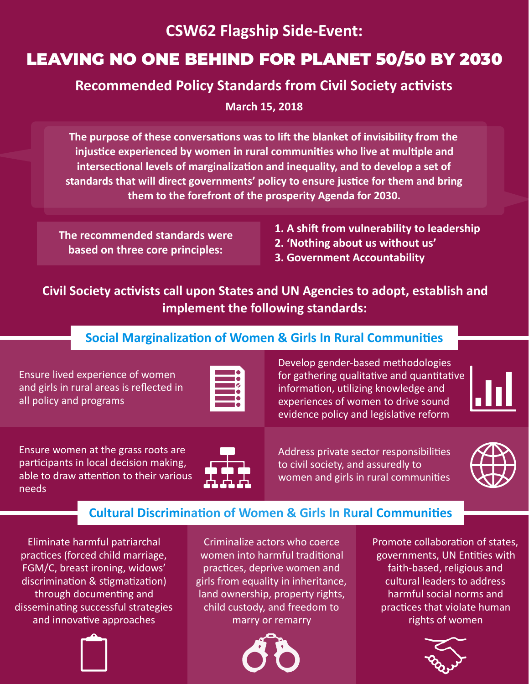# **CSW62 Flagship Side-Event:**

# LEAVING NO ONE BEHIND FOR PLANET 50/50 BY 2030

## **Recommended Policy Standards from Civil Society activists**

**March 15, 2018**

The purpose of these conversations was to lift the blanket of invisibility from the **injustice experienced by women in rural communities who live at multiple and** intersectional levels of marginalization and inequality, and to develop a set of standards that will direct governments' policy to ensure justice for them and bring them to the forefront of the prosperity Agenda for 2030.

**The recommended standards were based on three core principles:** 

- **1. A shift from vulnerability to leadership**
- **2. 'Nothing about us without us'**
- **3. Government Accountability**

Civil Society activists call upon States and UN Agencies to adopt, establish and **implement the following standards:** 

#### **Social Marginalization of Women & Girls In Rural Communities**

Ensure lived experience of women and girls in rural areas is reflected in all policy and programs

Develop gender-based methodologies for gathering qualitative and quantitative information, utilizing knowledge and experiences of women to drive sound evidence policy and legislative reform



Ensure women at the grass roots are participants in local decision making, able to draw attention to their various needs



Address private sector responsibilities to civil society, and assuredly to women and girls in rural communities



## **Cultural Discrimination of Women & Girls In Rural Communities**

Eliminate harmful patriarchal practices (forced child marriage, FGM/C, breast ironing, widows' discrimination & stigmatization) through documenting and disseminating successful strategies and innovative approaches



Criminalize actors who coerce women into harmful traditional practices, deprive women and girls from equality in inheritance, land ownership, property rights, child custody, and freedom to marry or remarry



Promote collaboration of states, governments, UN Entities with faith-based, religious and cultural leaders to address harmful social norms and practices that violate human rights of women